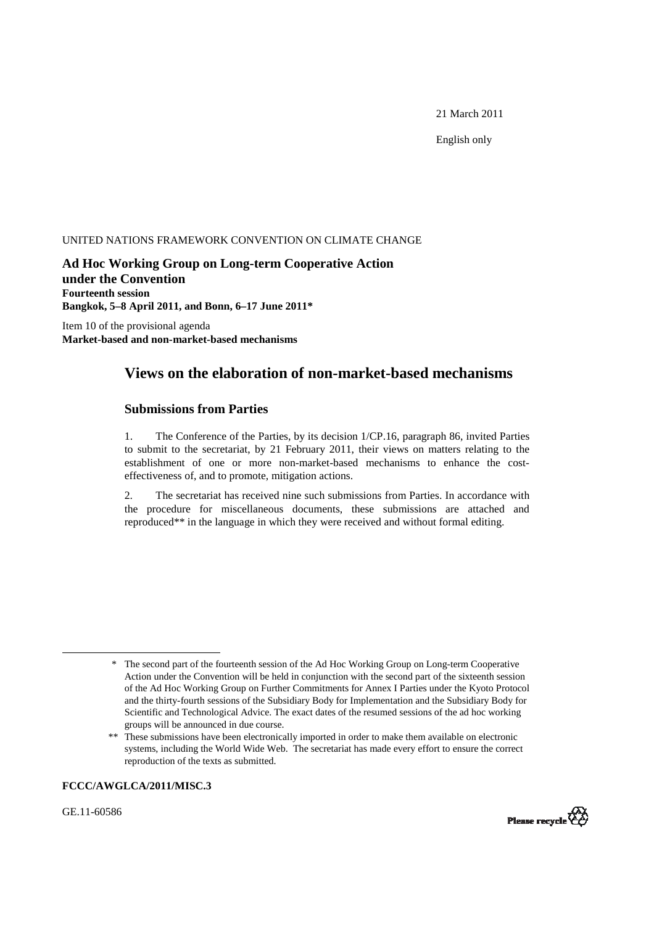21 March 2011

English only

#### UNITED NATIONS FRAMEWORK CONVENTION ON CLIMATE CHANGE

**Ad Hoc Working Group on Long-term Cooperative Action under the Convention Fourteenth session Bangkok, 5–8 April 2011, and Bonn, 6–17 June 2011\***

Item 10 of the provisional agenda **Market-based and non-market-based mechanisms** 

# **Views on the elaboration of non-market-based mechanisms**

## **Submissions from Parties**

1. The Conference of the Parties, by its decision 1/CP.16, paragraph 86, invited Parties to submit to the secretariat, by 21 February 2011, their views on matters relating to the establishment of one or more non-market-based mechanisms to enhance the costeffectiveness of, and to promote, mitigation actions.

2. The secretariat has received nine such submissions from Parties. In accordance with the procedure for miscellaneous documents, these submissions are attached and reproduced\*\* in the language in which they were received and without formal editing.

#### **FCCC/AWGLCA/2011/MISC.3**

GE.11-60586



<sup>\*</sup> The second part of the fourteenth session of the Ad Hoc Working Group on Long-term Cooperative Action under the Convention will be held in conjunction with the second part of the sixteenth session of the Ad Hoc Working Group on Further Commitments for Annex I Parties under the Kyoto Protocol and the thirty-fourth sessions of the Subsidiary Body for Implementation and the Subsidiary Body for Scientific and Technological Advice. The exact dates of the resumed sessions of the ad hoc working groups will be announced in due course.

<sup>\*\*</sup> These submissions have been electronically imported in order to make them available on electronic systems, including the World Wide Web. The secretariat has made every effort to ensure the correct reproduction of the texts as submitted.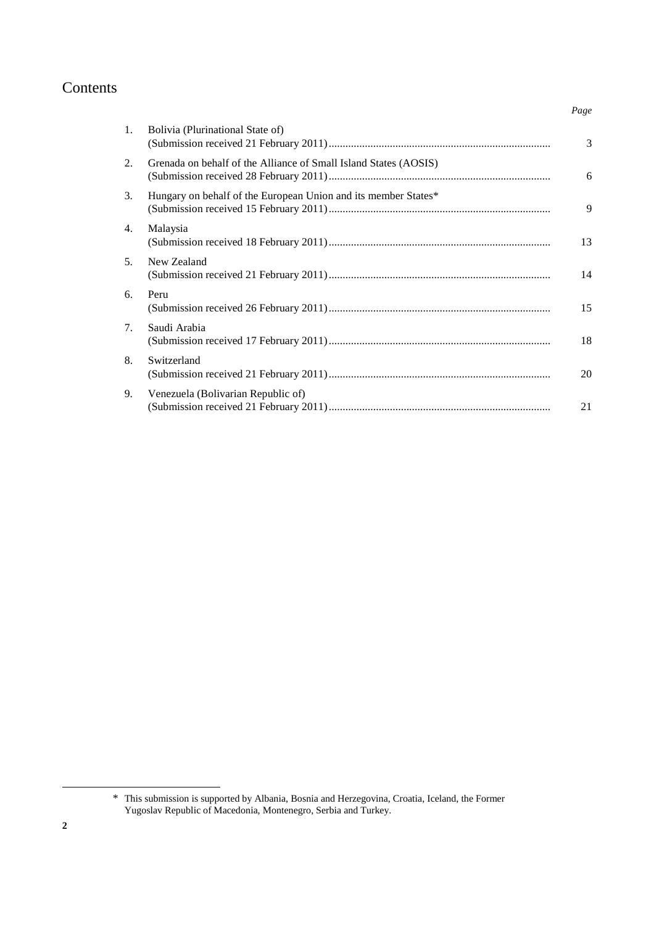# Contents

| Bolivia (Plurinational State of)<br>1.                                 | 3  |
|------------------------------------------------------------------------|----|
| 2.<br>Grenada on behalf of the Alliance of Small Island States (AOSIS) | 6  |
| Hungary on behalf of the European Union and its member States*<br>3.   | 9  |
| Malaysia<br>4.                                                         | 13 |
| 5 <sub>1</sub><br>New Zealand                                          | 14 |
| Peru<br>6.                                                             | 15 |
| Saudi Arabia<br>7.                                                     | 18 |
| Switzerland<br>8.                                                      | 20 |
| Venezuela (Bolivarian Republic of)<br>9.                               | 21 |

*Page*

\* This submission is supported by Albania, Bosnia and Herzegovina, Croatia, Iceland, the Former Yugoslav Republic of Macedonia, Montenegro, Serbia and Turkey.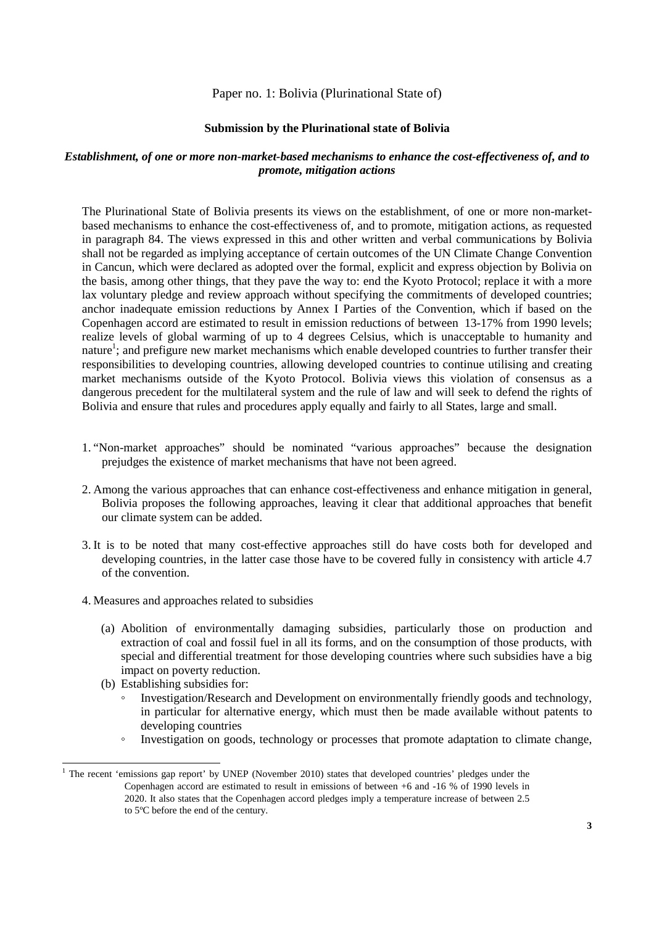#### Paper no. 1: Bolivia (Plurinational State of)

#### **Submission by the Plurinational state of Bolivia**

#### *Establishment, of one or more non-market-based mechanisms to enhance the cost-effectiveness of, and to promote, mitigation actions*

The Plurinational State of Bolivia presents its views on the establishment, of one or more non-marketbased mechanisms to enhance the cost-effectiveness of, and to promote, mitigation actions, as requested in paragraph 84. The views expressed in this and other written and verbal communications by Bolivia shall not be regarded as implying acceptance of certain outcomes of the UN Climate Change Convention in Cancun, which were declared as adopted over the formal, explicit and express objection by Bolivia on the basis, among other things, that they pave the way to: end the Kyoto Protocol; replace it with a more lax voluntary pledge and review approach without specifying the commitments of developed countries; anchor inadequate emission reductions by Annex I Parties of the Convention, which if based on the Copenhagen accord are estimated to result in emission reductions of between 13-17% from 1990 levels; realize levels of global warming of up to 4 degrees Celsius, which is unacceptable to humanity and nature<sup>1</sup>; and prefigure new market mechanisms which enable developed countries to further transfer their responsibilities to developing countries, allowing developed countries to continue utilising and creating market mechanisms outside of the Kyoto Protocol. Bolivia views this violation of consensus as a dangerous precedent for the multilateral system and the rule of law and will seek to defend the rights of Bolivia and ensure that rules and procedures apply equally and fairly to all States, large and small.

- 1. "Non-market approaches" should be nominated "various approaches" because the designation prejudges the existence of market mechanisms that have not been agreed.
- 2. Among the various approaches that can enhance cost-effectiveness and enhance mitigation in general, Bolivia proposes the following approaches, leaving it clear that additional approaches that benefit our climate system can be added.
- 3. It is to be noted that many cost-effective approaches still do have costs both for developed and developing countries, in the latter case those have to be covered fully in consistency with article 4.7 of the convention.
- 4. Measures and approaches related to subsidies
	- (a) Abolition of environmentally damaging subsidies, particularly those on production and extraction of coal and fossil fuel in all its forms, and on the consumption of those products, with special and differential treatment for those developing countries where such subsidies have a big impact on poverty reduction.
	- (b) Establishing subsidies for:

- Investigation/Research and Development on environmentally friendly goods and technology, in particular for alternative energy, which must then be made available without patents to developing countries
- Investigation on goods, technology or processes that promote adaptation to climate change,

<sup>&</sup>lt;sup>1</sup> The recent 'emissions gap report' by UNEP (November 2010) states that developed countries' pledges under the Copenhagen accord are estimated to result in emissions of between +6 and -16 % of 1990 levels in 2020. It also states that the Copenhagen accord pledges imply a temperature increase of between 2.5 to 5ºC before the end of the century.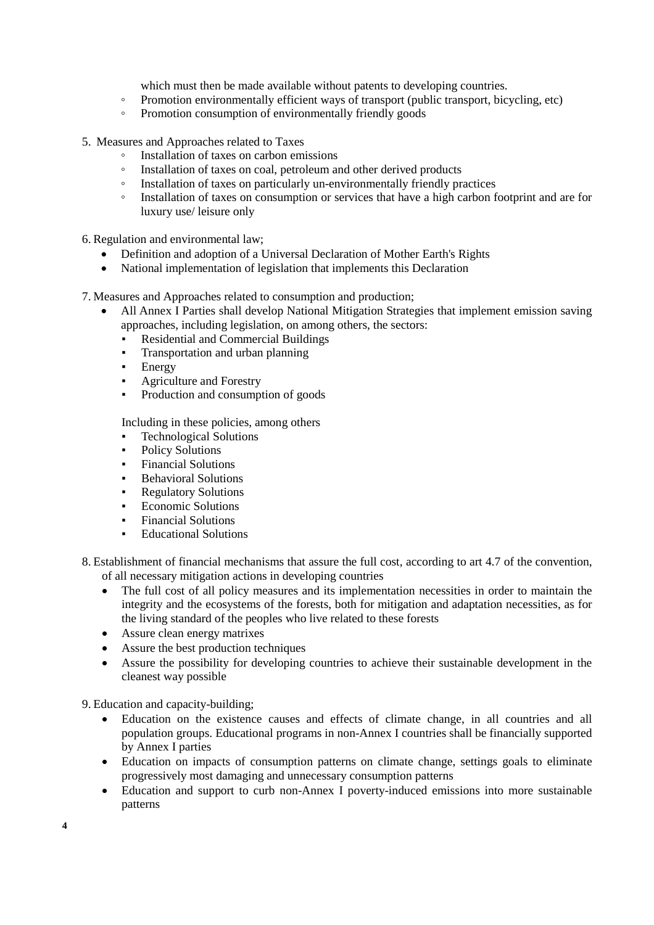which must then be made available without patents to developing countries.

- Promotion environmentally efficient ways of transport (public transport, bicycling, etc)
- Promotion consumption of environmentally friendly goods
- 5. Measures and Approaches related to Taxes
	- Installation of taxes on carbon emissions
	- Installation of taxes on coal, petroleum and other derived products
	- Installation of taxes on particularly un-environmentally friendly practices
	- Installation of taxes on consumption or services that have a high carbon footprint and are for luxury use/ leisure only

6. Regulation and environmental law;

- Definition and adoption of a Universal Declaration of Mother Earth's Rights
- National implementation of legislation that implements this Declaration

7. Measures and Approaches related to consumption and production;

- All Annex I Parties shall develop National Mitigation Strategies that implement emission saving approaches, including legislation, on among others, the sectors:
	- **Residential and Commercial Buildings**
	- Transportation and urban planning
	- **Energy**
	- Agriculture and Forestry
	- Production and consumption of goods

Including in these policies, among others

- **Technological Solutions**
- Policy Solutions
- **Financial Solutions**
- **Behavioral Solutions**
- Regulatory Solutions
- Economic Solutions
- Financial Solutions
- **Educational Solutions**
- 8. Establishment of financial mechanisms that assure the full cost, according to art 4.7 of the convention, of all necessary mitigation actions in developing countries
	- The full cost of all policy measures and its implementation necessities in order to maintain the integrity and the ecosystems of the forests, both for mitigation and adaptation necessities, as for the living standard of the peoples who live related to these forests
	- Assure clean energy matrixes
	- Assure the best production techniques
	- Assure the possibility for developing countries to achieve their sustainable development in the cleanest way possible

9. Education and capacity-building;

- Education on the existence causes and effects of climate change, in all countries and all population groups. Educational programs in non-Annex I countries shall be financially supported by Annex I parties
- Education on impacts of consumption patterns on climate change, settings goals to eliminate progressively most damaging and unnecessary consumption patterns
- Education and support to curb non-Annex I poverty-induced emissions into more sustainable patterns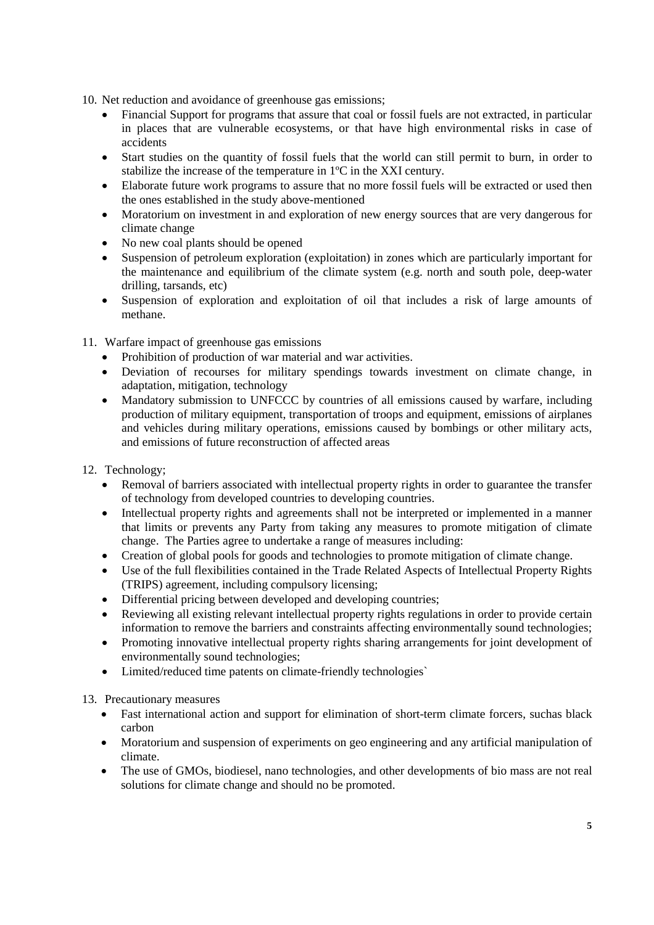- 10. Net reduction and avoidance of greenhouse gas emissions;
	- Financial Support for programs that assure that coal or fossil fuels are not extracted, in particular in places that are vulnerable ecosystems, or that have high environmental risks in case of accidents
	- Start studies on the quantity of fossil fuels that the world can still permit to burn, in order to stabilize the increase of the temperature in 1ºC in the XXI century.
	- Elaborate future work programs to assure that no more fossil fuels will be extracted or used then the ones established in the study above-mentioned
	- Moratorium on investment in and exploration of new energy sources that are very dangerous for climate change
	- No new coal plants should be opened
	- Suspension of petroleum exploration (exploitation) in zones which are particularly important for the maintenance and equilibrium of the climate system (e.g. north and south pole, deep-water drilling, tarsands, etc)
	- Suspension of exploration and exploitation of oil that includes a risk of large amounts of methane.
- 11. Warfare impact of greenhouse gas emissions
	- Prohibition of production of war material and war activities.
	- Deviation of recourses for military spendings towards investment on climate change, in adaptation, mitigation, technology
	- Mandatory submission to UNFCCC by countries of all emissions caused by warfare, including production of military equipment, transportation of troops and equipment, emissions of airplanes and vehicles during military operations, emissions caused by bombings or other military acts, and emissions of future reconstruction of affected areas
- 12. Technology;
	- Removal of barriers associated with intellectual property rights in order to guarantee the transfer of technology from developed countries to developing countries.
	- Intellectual property rights and agreements shall not be interpreted or implemented in a manner that limits or prevents any Party from taking any measures to promote mitigation of climate change. The Parties agree to undertake a range of measures including:
	- Creation of global pools for goods and technologies to promote mitigation of climate change.
	- Use of the full flexibilities contained in the Trade Related Aspects of Intellectual Property Rights (TRIPS) agreement, including compulsory licensing;
	- Differential pricing between developed and developing countries:
	- Reviewing all existing relevant intellectual property rights regulations in order to provide certain information to remove the barriers and constraints affecting environmentally sound technologies;
	- Promoting innovative intellectual property rights sharing arrangements for joint development of environmentally sound technologies;
	- Limited/reduced time patents on climate-friendly technologies

#### 13. Precautionary measures

- Fast international action and support for elimination of short-term climate forcers, suchas black carbon
- Moratorium and suspension of experiments on geo engineering and any artificial manipulation of climate.
- The use of GMOs, biodiesel, nano technologies, and other developments of bio mass are not real solutions for climate change and should no be promoted.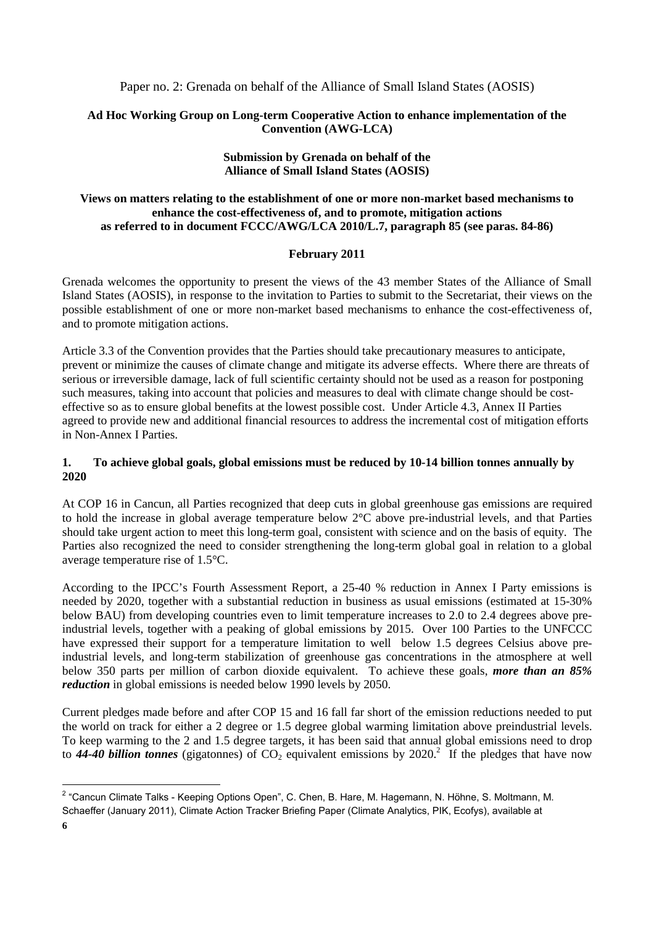Paper no. 2: Grenada on behalf of the Alliance of Small Island States (AOSIS)

## **Ad Hoc Working Group on Long-term Cooperative Action to enhance implementation of the Convention (AWG-LCA)**

## **Submission by Grenada on behalf of the Alliance of Small Island States (AOSIS)**

## **Views on matters relating to the establishment of one or more non-market based mechanisms to enhance the cost-effectiveness of, and to promote, mitigation actions as referred to in document FCCC/AWG/LCA 2010/L.7, paragraph 85 (see paras. 84-86)**

#### **February 2011**

Grenada welcomes the opportunity to present the views of the 43 member States of the Alliance of Small Island States (AOSIS), in response to the invitation to Parties to submit to the Secretariat, their views on the possible establishment of one or more non-market based mechanisms to enhance the cost-effectiveness of, and to promote mitigation actions.

Article 3.3 of the Convention provides that the Parties should take precautionary measures to anticipate, prevent or minimize the causes of climate change and mitigate its adverse effects. Where there are threats of serious or irreversible damage, lack of full scientific certainty should not be used as a reason for postponing such measures, taking into account that policies and measures to deal with climate change should be costeffective so as to ensure global benefits at the lowest possible cost. Under Article 4.3, Annex II Parties agreed to provide new and additional financial resources to address the incremental cost of mitigation efforts in Non-Annex I Parties.

## **1. To achieve global goals, global emissions must be reduced by 10-14 billion tonnes annually by 2020**

At COP 16 in Cancun, all Parties recognized that deep cuts in global greenhouse gas emissions are required to hold the increase in global average temperature below 2°C above pre-industrial levels, and that Parties should take urgent action to meet this long-term goal, consistent with science and on the basis of equity. The Parties also recognized the need to consider strengthening the long-term global goal in relation to a global average temperature rise of 1.5°C.

According to the IPCC's Fourth Assessment Report, a 25-40 % reduction in Annex I Party emissions is needed by 2020, together with a substantial reduction in business as usual emissions (estimated at 15-30% below BAU) from developing countries even to limit temperature increases to 2.0 to 2.4 degrees above preindustrial levels, together with a peaking of global emissions by 2015. Over 100 Parties to the UNFCCC have expressed their support for a temperature limitation to well below 1.5 degrees Celsius above preindustrial levels, and long-term stabilization of greenhouse gas concentrations in the atmosphere at well below 350 parts per million of carbon dioxide equivalent. To achieve these goals, *more than an 85% reduction* in global emissions is needed below 1990 levels by 2050.

Current pledges made before and after COP 15 and 16 fall far short of the emission reductions needed to put the world on track for either a 2 degree or 1.5 degree global warming limitation above preindustrial levels. To keep warming to the 2 and 1.5 degree targets, it has been said that annual global emissions need to drop to  $44-40$  billion tonnes (gigatonnes) of  $CO<sub>2</sub>$  equivalent emissions by 2020.<sup>2</sup> If the pledges that have now

l

<sup>&</sup>lt;sup>2</sup> "Cancun Climate Talks - Keeping Options Open", C. Chen, B. Hare, M. Hagemann, N. Höhne, S. Moltmann, M. Schaeffer (January 2011), Climate Action Tracker Briefing Paper (Climate Analytics, PIK, Ecofys), available at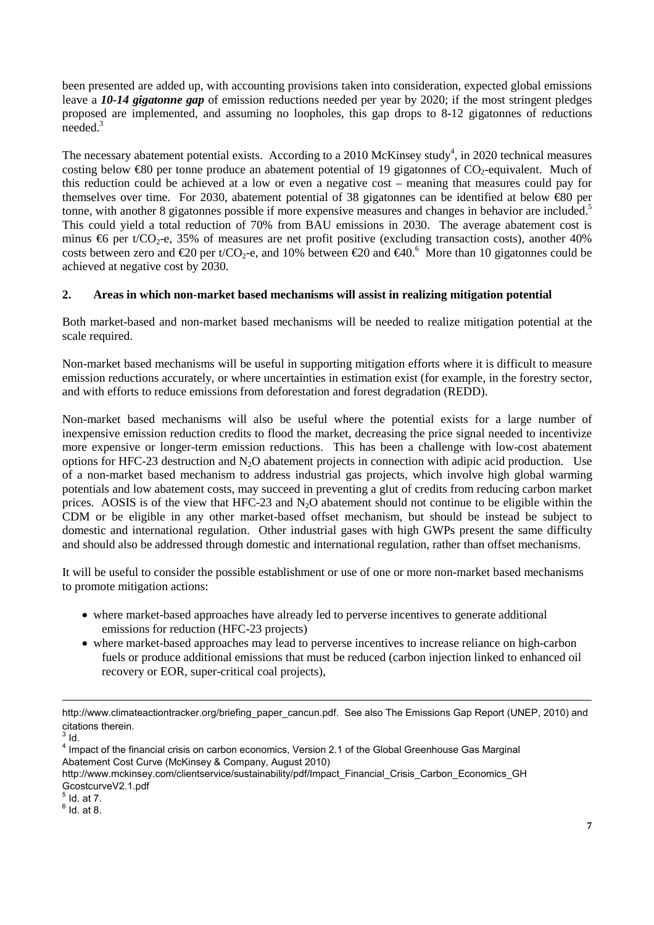been presented are added up, with accounting provisions taken into consideration, expected global emissions leave a *10-14 gigatonne gap* of emission reductions needed per year by 2020; if the most stringent pledges proposed are implemented, and assuming no loopholes, this gap drops to 8-12 gigatonnes of reductions needed.3

The necessary abatement potential exists. According to a 2010 McKinsey study<sup>4</sup>, in 2020 technical measures costing below  $\bigoplus$  per tonne produce an abatement potential of 19 gigatonnes of CO<sub>2</sub>-equivalent. Much of this reduction could be achieved at a low or even a negative cost – meaning that measures could pay for themselves over time. For 2030, abatement potential of 38 gigatonnes can be identified at below €80 per tonne, with another 8 gigatonnes possible if more expensive measures and changes in behavior are included.<sup>5</sup> This could yield a total reduction of 70% from BAU emissions in 2030. The average abatement cost is minus  $66$  per t/CO<sub>2</sub>-e, 35% of measures are net profit positive (excluding transaction costs), another 40% costs between zero and  $\text{\textcircled{20}}$  per t/CO<sub>2</sub>-e, and 10% between  $\text{\textcircled{20}}$  and  $\text{\textcircled{40}}^6$ . More than 10 gigatonnes could be achieved at negative cost by 2030.

## **2. Areas in which non-market based mechanisms will assist in realizing mitigation potential**

Both market-based and non-market based mechanisms will be needed to realize mitigation potential at the scale required.

Non-market based mechanisms will be useful in supporting mitigation efforts where it is difficult to measure emission reductions accurately, or where uncertainties in estimation exist (for example, in the forestry sector, and with efforts to reduce emissions from deforestation and forest degradation (REDD).

Non-market based mechanisms will also be useful where the potential exists for a large number of inexpensive emission reduction credits to flood the market, decreasing the price signal needed to incentivize more expensive or longer-term emission reductions. This has been a challenge with low-cost abatement options for HFC-23 destruction and  $N_2O$  abatement projects in connection with adipic acid production. Use of a non-market based mechanism to address industrial gas projects, which involve high global warming potentials and low abatement costs, may succeed in preventing a glut of credits from reducing carbon market prices. AOSIS is of the view that HFC-23 and  $N_2O$  abatement should not continue to be eligible within the CDM or be eligible in any other market-based offset mechanism, but should be instead be subject to domestic and international regulation. Other industrial gases with high GWPs present the same difficulty and should also be addressed through domestic and international regulation, rather than offset mechanisms.

It will be useful to consider the possible establishment or use of one or more non-market based mechanisms to promote mitigation actions:

- where market-based approaches have already led to perverse incentives to generate additional emissions for reduction (HFC-23 projects)
- where market-based approaches may lead to perverse incentives to increase reliance on high-carbon fuels or produce additional emissions that must be reduced (carbon injection linked to enhanced oil recovery or EOR, super-critical coal projects),

http://www.climateactiontracker.org/briefing\_paper\_cancun.pdf. See also The Emissions Gap Report (UNEP, 2010) and citations therein.<br><sup>3</sup> Id.

<sup>&</sup>lt;sup>4</sup> Impact of the financial crisis on carbon economics, Version 2.1 of the Global Greenhouse Gas Marginal Abatement Cost Curve (McKinsey & Company, August 2010)

http://www.mckinsey.com/clientservice/sustainability/pdf/Impact\_Financial\_Crisis\_Carbon\_Economics\_GH GcostcurveV2.1.pdf

 $<sup>5</sup>$  Id. at 7.</sup>

 $^6$  Id. at 8.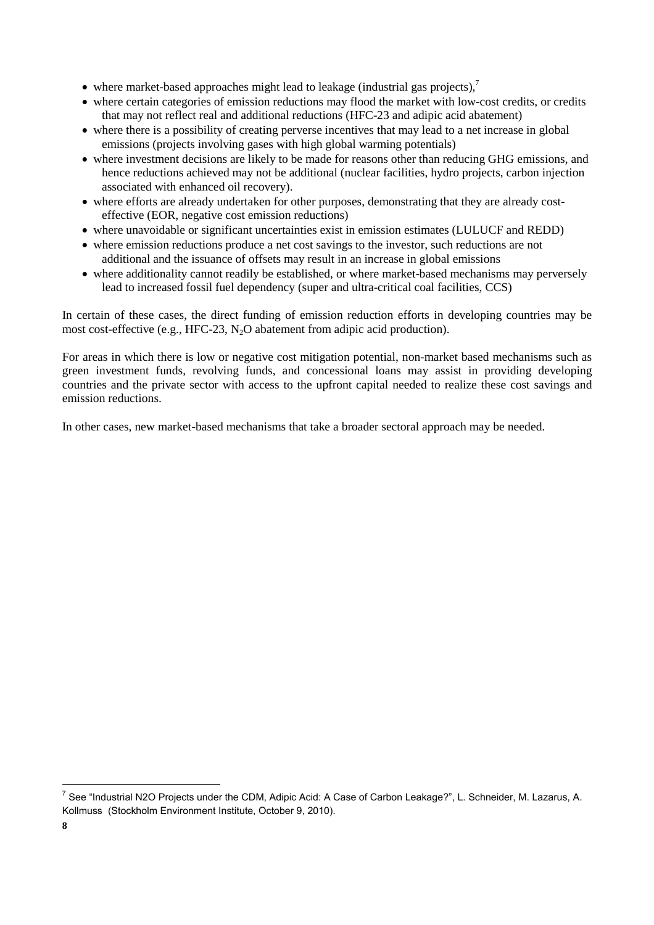- where market-based approaches might lead to leakage (industrial gas projects), $^7$
- where certain categories of emission reductions may flood the market with low-cost credits, or credits that may not reflect real and additional reductions (HFC-23 and adipic acid abatement)
- where there is a possibility of creating perverse incentives that may lead to a net increase in global emissions (projects involving gases with high global warming potentials)
- where investment decisions are likely to be made for reasons other than reducing GHG emissions, and hence reductions achieved may not be additional (nuclear facilities, hydro projects, carbon injection associated with enhanced oil recovery).
- where efforts are already undertaken for other purposes, demonstrating that they are already costeffective (EOR, negative cost emission reductions)
- where unavoidable or significant uncertainties exist in emission estimates (LULUCF and REDD)
- where emission reductions produce a net cost savings to the investor, such reductions are not additional and the issuance of offsets may result in an increase in global emissions
- where additionality cannot readily be established, or where market-based mechanisms may perversely lead to increased fossil fuel dependency (super and ultra-critical coal facilities, CCS)

In certain of these cases, the direct funding of emission reduction efforts in developing countries may be most cost-effective (e.g., HFC-23,  $N_2O$  abatement from adipic acid production).

For areas in which there is low or negative cost mitigation potential, non-market based mechanisms such as green investment funds, revolving funds, and concessional loans may assist in providing developing countries and the private sector with access to the upfront capital needed to realize these cost savings and emission reductions.

In other cases, new market-based mechanisms that take a broader sectoral approach may be needed.

l

<sup>&</sup>lt;sup>7</sup> See "Industrial N2O Projects under the CDM, Adipic Acid: A Case of Carbon Leakage?", L. Schneider, M. Lazarus, A. Kollmuss (Stockholm Environment Institute, October 9, 2010).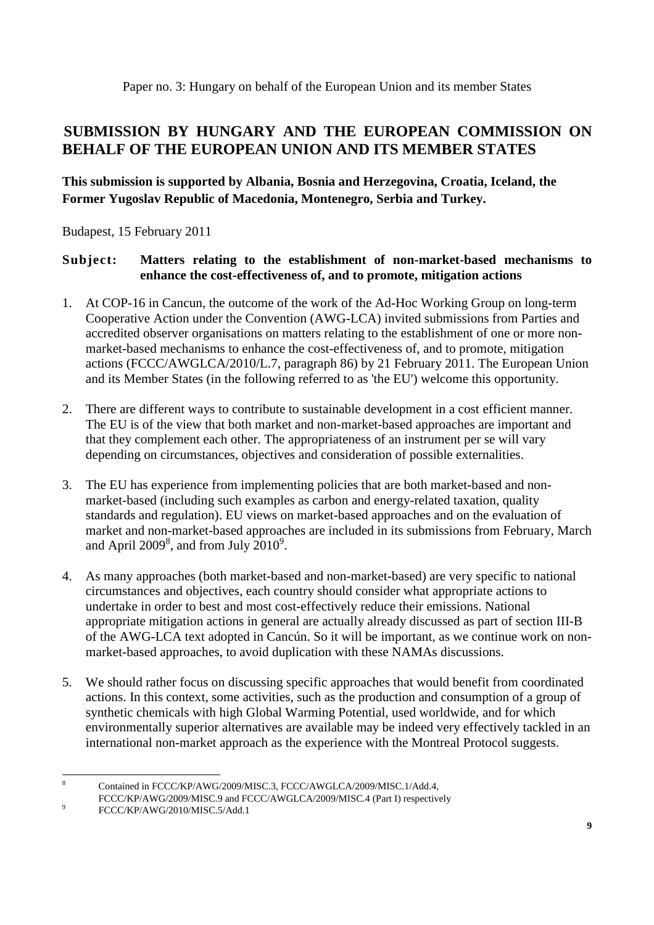Paper no. 3: Hungary on behalf of the European Union and its member States

# **SUBMISSION BY HUNGARY AND THE EUROPEAN COMMISSION ON BEHALF OF THE EUROPEAN UNION AND ITS MEMBER STATES**

# **This submission is supported by Albania, Bosnia and Herzegovina, Croatia, Iceland, the Former Yugoslav Republic of Macedonia, Montenegro, Serbia and Turkey.**

Budapest, 15 February 2011

## **Subject: Matters relating to the establishment of non-market-based mechanisms to enhance the cost-effectiveness of, and to promote, mitigation actions**

- 1. At COP-16 in Cancun, the outcome of the work of the Ad-Hoc Working Group on long-term Cooperative Action under the Convention (AWG-LCA) invited submissions from Parties and accredited observer organisations on matters relating to the establishment of one or more nonmarket-based mechanisms to enhance the cost-effectiveness of, and to promote, mitigation actions (FCCC/AWGLCA/2010/L.7, paragraph 86) by 21 February 2011. The European Union and its Member States (in the following referred to as 'the EU') welcome this opportunity.
- 2. There are different ways to contribute to sustainable development in a cost efficient manner. The EU is of the view that both market and non-market-based approaches are important and that they complement each other. The appropriateness of an instrument per se will vary depending on circumstances, objectives and consideration of possible externalities.
- 3. The EU has experience from implementing policies that are both market-based and nonmarket-based (including such examples as carbon and energy-related taxation, quality standards and regulation). EU views on market-based approaches and on the evaluation of market and non-market-based approaches are included in its submissions from February, March and April  $2009^8$ , and from July  $2010^9$ .
- 4. As many approaches (both market-based and non-market-based) are very specific to national circumstances and objectives, each country should consider what appropriate actions to undertake in order to best and most cost-effectively reduce their emissions. National appropriate mitigation actions in general are actually already discussed as part of section III-B of the AWG-LCA text adopted in Cancún. So it will be important, as we continue work on nonmarket-based approaches, to avoid duplication with these NAMAs discussions.
- 5. We should rather focus on discussing specific approaches that would benefit from coordinated actions. In this context, some activities, such as the production and consumption of a group of synthetic chemicals with high Global Warming Potential, used worldwide, and for which environmentally superior alternatives are available may be indeed very effectively tackled in an international non-market approach as the experience with the Montreal Protocol suggests.

 8

Contained in FCCC/KP/AWG/2009/MISC.3, FCCC/AWGLCA/2009/MISC.1/Add.4,

FCCC/KP/AWG/2009/MISC.9 and FCCC/AWGLCA/2009/MISC.4 (Part I) respectively

FCCC/KP/AWG/2010/MISC.5/Add.1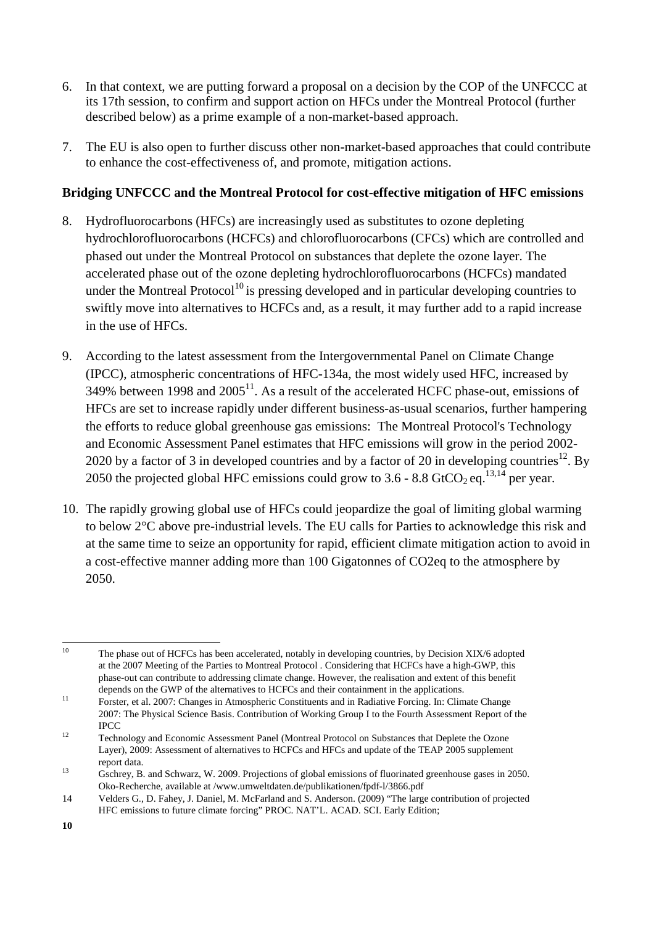- 6. In that context, we are putting forward a proposal on a decision by the COP of the UNFCCC at its 17th session, to confirm and support action on HFCs under the Montreal Protocol (further described below) as a prime example of a non-market-based approach.
- 7. The EU is also open to further discuss other non-market-based approaches that could contribute to enhance the cost-effectiveness of, and promote, mitigation actions.

## **Bridging UNFCCC and the Montreal Protocol for cost-effective mitigation of HFC emissions**

- 8. Hydrofluorocarbons (HFCs) are increasingly used as substitutes to ozone depleting hydrochlorofluorocarbons (HCFCs) and chlorofluorocarbons (CFCs) which are controlled and phased out under the Montreal Protocol on substances that deplete the ozone layer. The accelerated phase out of the ozone depleting hydrochlorofluorocarbons (HCFCs) mandated under the Montreal Protocol<sup>10</sup> is pressing developed and in particular developing countries to swiftly move into alternatives to HCFCs and, as a result, it may further add to a rapid increase in the use of HFCs.
- 9. According to the latest assessment from the Intergovernmental Panel on Climate Change (IPCC), atmospheric concentrations of HFC-134a, the most widely used HFC, increased by 349% between 1998 and  $2005<sup>11</sup>$ . As a result of the accelerated HCFC phase-out, emissions of HFCs are set to increase rapidly under different business-as-usual scenarios, further hampering the efforts to reduce global greenhouse gas emissions: The Montreal Protocol's Technology and Economic Assessment Panel estimates that HFC emissions will grow in the period 2002- 2020 by a factor of 3 in developed countries and by a factor of 20 in developing countries<sup>12</sup>. By 2050 the projected global HFC emissions could grow to 3.6 - 8.8 GtCO<sub>2</sub> eq.<sup>13,14</sup> per year.
- 10. The rapidly growing global use of HFCs could jeopardize the goal of limiting global warming to below 2°C above pre-industrial levels. The EU calls for Parties to acknowledge this risk and at the same time to seize an opportunity for rapid, efficient climate mitigation action to avoid in a cost-effective manner adding more than 100 Gigatonnes of CO2eq to the atmosphere by 2050.

 $10<sup>10</sup>$ 10 The phase out of HCFCs has been accelerated, notably in developing countries, by Decision XIX/6 adopted at the 2007 Meeting of the Parties to Montreal Protocol . Considering that HCFCs have a high-GWP, this phase-out can contribute to addressing climate change. However, the realisation and extent of this benefit

depends on the GWP of the alternatives to HCFCs and their containment in the applications.<br>
<sup>11</sup> Forster, et al. 2007: Changes in Atmospheric Constituents and in Radiative Forcing. In: Climate Change 2007: The Physical Science Basis. Contribution of Working Group I to the Fourth Assessment Report of the IPCC 12 Technology and Economic Assessment Panel (Montreal Protocol on Substances that Deplete the Ozone

Layer), 2009: Assessment of alternatives to HCFCs and HFCs and update of the TEAP 2005 supplement report data. 13 Gschrey, B. and Schwarz, W. 2009. Projections of global emissions of fluorinated greenhouse gases in 2050.

Oko-Recherche, available at /www.umweltdaten.de/publikationen/fpdf-l/3866.pdf

<sup>14</sup> Velders G., D. Fahey, J. Daniel, M. McFarland and S. Anderson. (2009) "The large contribution of projected HFC emissions to future climate forcing" PROC. NAT'L. ACAD. SCI. Early Edition;

**<sup>10</sup>**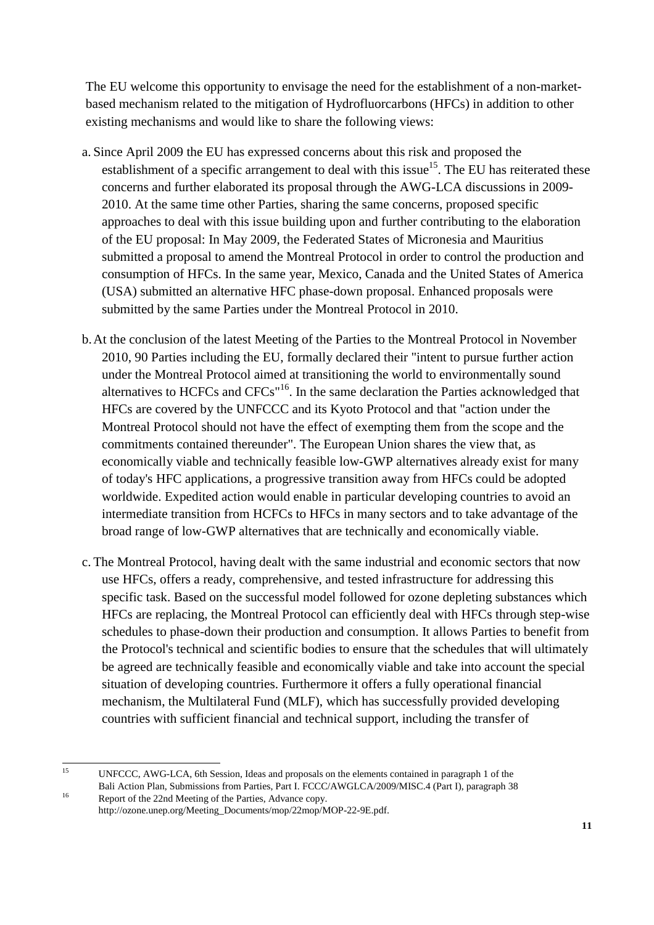The EU welcome this opportunity to envisage the need for the establishment of a non-marketbased mechanism related to the mitigation of Hydrofluorcarbons (HFCs) in addition to other existing mechanisms and would like to share the following views:

- a. Since April 2009 the EU has expressed concerns about this risk and proposed the establishment of a specific arrangement to deal with this issue<sup>15</sup>. The EU has reiterated these concerns and further elaborated its proposal through the AWG-LCA discussions in 2009- 2010. At the same time other Parties, sharing the same concerns, proposed specific approaches to deal with this issue building upon and further contributing to the elaboration of the EU proposal: In May 2009, the Federated States of Micronesia and Mauritius submitted a proposal to amend the Montreal Protocol in order to control the production and consumption of HFCs. In the same year, Mexico, Canada and the United States of America (USA) submitted an alternative HFC phase-down proposal. Enhanced proposals were submitted by the same Parties under the Montreal Protocol in 2010.
- b.At the conclusion of the latest Meeting of the Parties to the Montreal Protocol in November 2010, 90 Parties including the EU, formally declared their "intent to pursue further action under the Montreal Protocol aimed at transitioning the world to environmentally sound alternatives to HCFCs and CFCs"16. In the same declaration the Parties acknowledged that HFCs are covered by the UNFCCC and its Kyoto Protocol and that "action under the Montreal Protocol should not have the effect of exempting them from the scope and the commitments contained thereunder". The European Union shares the view that, as economically viable and technically feasible low-GWP alternatives already exist for many of today's HFC applications, a progressive transition away from HFCs could be adopted worldwide. Expedited action would enable in particular developing countries to avoid an intermediate transition from HCFCs to HFCs in many sectors and to take advantage of the broad range of low-GWP alternatives that are technically and economically viable.
- c. The Montreal Protocol, having dealt with the same industrial and economic sectors that now use HFCs, offers a ready, comprehensive, and tested infrastructure for addressing this specific task. Based on the successful model followed for ozone depleting substances which HFCs are replacing, the Montreal Protocol can efficiently deal with HFCs through step-wise schedules to phase-down their production and consumption. It allows Parties to benefit from the Protocol's technical and scientific bodies to ensure that the schedules that will ultimately be agreed are technically feasible and economically viable and take into account the special situation of developing countries. Furthermore it offers a fully operational financial mechanism, the Multilateral Fund (MLF), which has successfully provided developing countries with sufficient financial and technical support, including the transfer of

<sup>15</sup> UNFCCC, AWG-LCA, 6th Session, Ideas and proposals on the elements contained in paragraph 1 of the Bali Action Plan, Submissions from Parties, Part I. FCCC/AWGLCA/2009/MISC.4 (Part I), paragraph 38 Report of the 22nd Meeting of the Parties, Advance copy.

http://ozone.unep.org/Meeting\_Documents/mop/22mop/MOP-22-9E.pdf.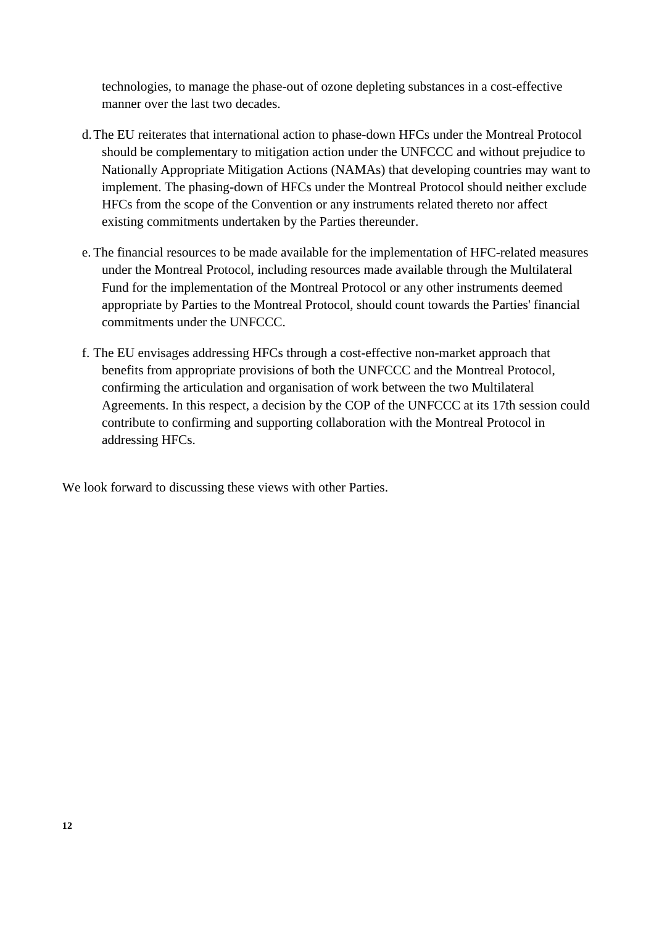technologies, to manage the phase-out of ozone depleting substances in a cost-effective manner over the last two decades.

- d.The EU reiterates that international action to phase-down HFCs under the Montreal Protocol should be complementary to mitigation action under the UNFCCC and without prejudice to Nationally Appropriate Mitigation Actions (NAMAs) that developing countries may want to implement. The phasing-down of HFCs under the Montreal Protocol should neither exclude HFCs from the scope of the Convention or any instruments related thereto nor affect existing commitments undertaken by the Parties thereunder.
- e. The financial resources to be made available for the implementation of HFC-related measures under the Montreal Protocol, including resources made available through the Multilateral Fund for the implementation of the Montreal Protocol or any other instruments deemed appropriate by Parties to the Montreal Protocol, should count towards the Parties' financial commitments under the UNFCCC.
- f. The EU envisages addressing HFCs through a cost-effective non-market approach that benefits from appropriate provisions of both the UNFCCC and the Montreal Protocol, confirming the articulation and organisation of work between the two Multilateral Agreements. In this respect, a decision by the COP of the UNFCCC at its 17th session could contribute to confirming and supporting collaboration with the Montreal Protocol in addressing HFCs.

We look forward to discussing these views with other Parties.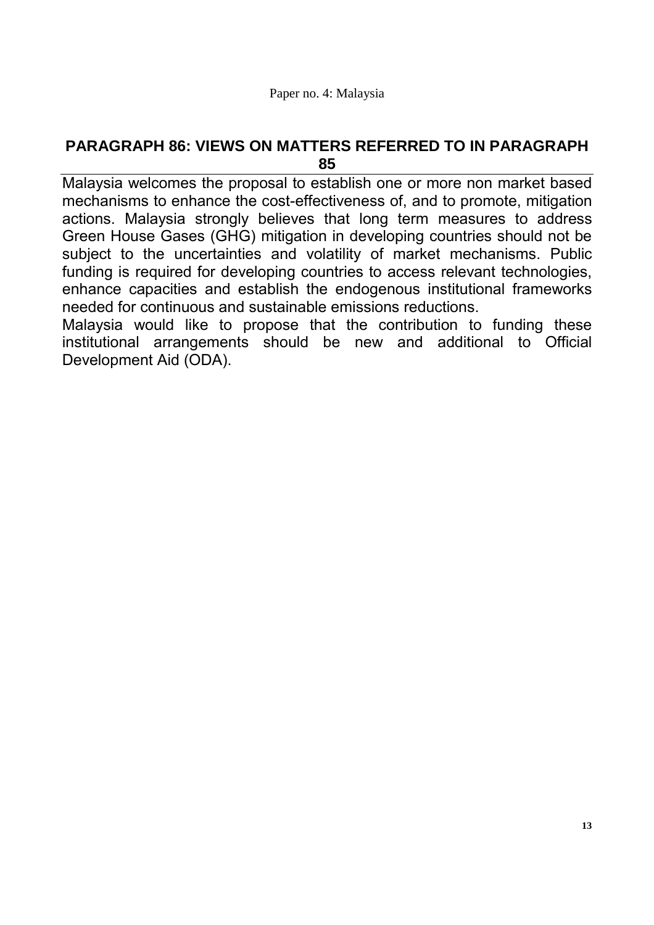# **PARAGRAPH 86: VIEWS ON MATTERS REFERRED TO IN PARAGRAPH 85**

Malaysia welcomes the proposal to establish one or more non market based mechanisms to enhance the cost-effectiveness of, and to promote, mitigation actions. Malaysia strongly believes that long term measures to address Green House Gases (GHG) mitigation in developing countries should not be subject to the uncertainties and volatility of market mechanisms. Public funding is required for developing countries to access relevant technologies, enhance capacities and establish the endogenous institutional frameworks needed for continuous and sustainable emissions reductions.

Malaysia would like to propose that the contribution to funding these institutional arrangements should be new and additional to Official Development Aid (ODA).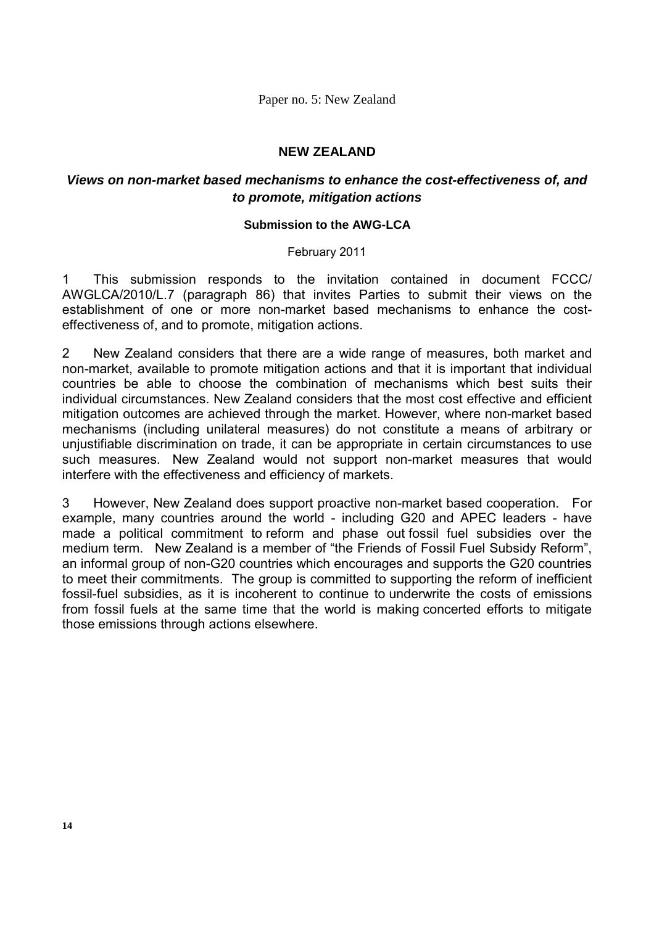Paper no. 5: New Zealand

## **NEW ZEALAND**

## *Views on non-market based mechanisms to enhance the cost-effectiveness of, and to promote, mitigation actions*

## **Submission to the AWG-LCA**

## February 2011

1 This submission responds to the invitation contained in document FCCC/ AWGLCA/2010/L.7 (paragraph 86) that invites Parties to submit their views on the establishment of one or more non-market based mechanisms to enhance the costeffectiveness of, and to promote, mitigation actions.

2 New Zealand considers that there are a wide range of measures, both market and non-market, available to promote mitigation actions and that it is important that individual countries be able to choose the combination of mechanisms which best suits their individual circumstances. New Zealand considers that the most cost effective and efficient mitigation outcomes are achieved through the market. However, where non-market based mechanisms (including unilateral measures) do not constitute a means of arbitrary or unjustifiable discrimination on trade, it can be appropriate in certain circumstances to use such measures. New Zealand would not support non-market measures that would interfere with the effectiveness and efficiency of markets.

3 However, New Zealand does support proactive non-market based cooperation. For example, many countries around the world - including G20 and APEC leaders - have made a political commitment to reform and phase out fossil fuel subsidies over the medium term. New Zealand is a member of "the Friends of Fossil Fuel Subsidy Reform", an informal group of non-G20 countries which encourages and supports the G20 countries to meet their commitments. The group is committed to supporting the reform of inefficient fossil-fuel subsidies, as it is incoherent to continue to underwrite the costs of emissions from fossil fuels at the same time that the world is making concerted efforts to mitigate those emissions through actions elsewhere.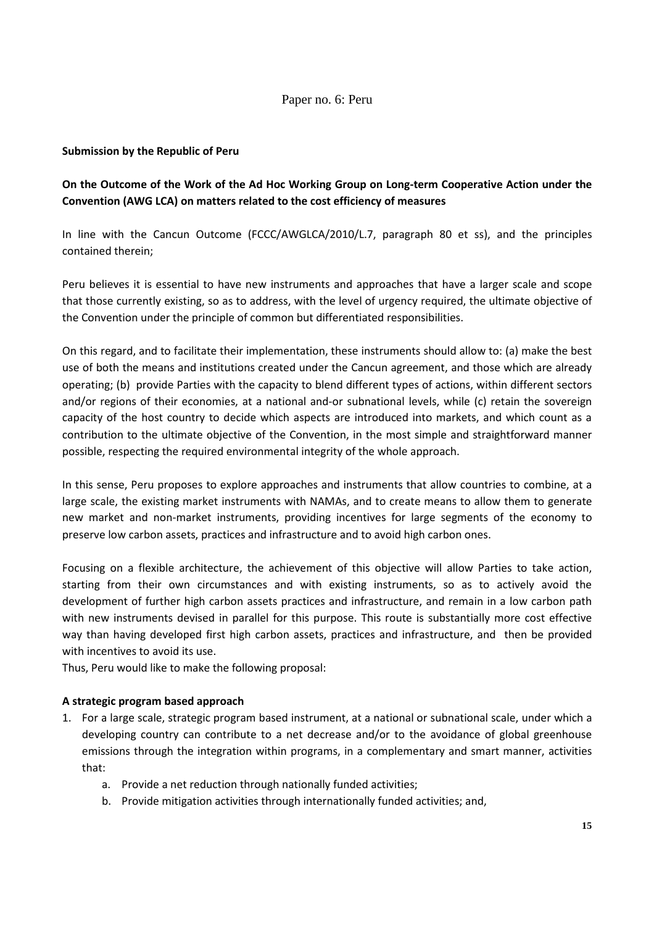## Paper no. 6: Peru

## **Submission by the Republic of Peru**

## **On the Outcome of the Work of the Ad Hoc Working Group on Long-term Cooperative Action under the Convention (AWG LCA) on matters related to the cost efficiency of measures**

In line with the Cancun Outcome (FCCC/AWGLCA/2010/L.7, paragraph 80 et ss), and the principles contained therein;

Peru believes it is essential to have new instruments and approaches that have a larger scale and scope that those currently existing, so as to address, with the level of urgency required, the ultimate objective of the Convention under the principle of common but differentiated responsibilities.

On this regard, and to facilitate their implementation, these instruments should allow to: (a) make the best use of both the means and institutions created under the Cancun agreement, and those which are already operating; (b) provide Parties with the capacity to blend different types of actions, within different sectors and/or regions of their economies, at a national and-or subnational levels, while (c) retain the sovereign capacity of the host country to decide which aspects are introduced into markets, and which count as a contribution to the ultimate objective of the Convention, in the most simple and straightforward manner possible, respecting the required environmental integrity of the whole approach.

In this sense, Peru proposes to explore approaches and instruments that allow countries to combine, at a large scale, the existing market instruments with NAMAs, and to create means to allow them to generate new market and non-market instruments, providing incentives for large segments of the economy to preserve low carbon assets, practices and infrastructure and to avoid high carbon ones.

Focusing on a flexible architecture, the achievement of this objective will allow Parties to take action, starting from their own circumstances and with existing instruments, so as to actively avoid the development of further high carbon assets practices and infrastructure, and remain in a low carbon path with new instruments devised in parallel for this purpose. This route is substantially more cost effective way than having developed first high carbon assets, practices and infrastructure, and then be provided with incentives to avoid its use.

Thus, Peru would like to make the following proposal:

#### **A strategic program based approach**

- 1. For a large scale, strategic program based instrument, at a national or subnational scale, under which a developing country can contribute to a net decrease and/or to the avoidance of global greenhouse emissions through the integration within programs, in a complementary and smart manner, activities that:
	- a. Provide a net reduction through nationally funded activities;
	- b. Provide mitigation activities through internationally funded activities; and,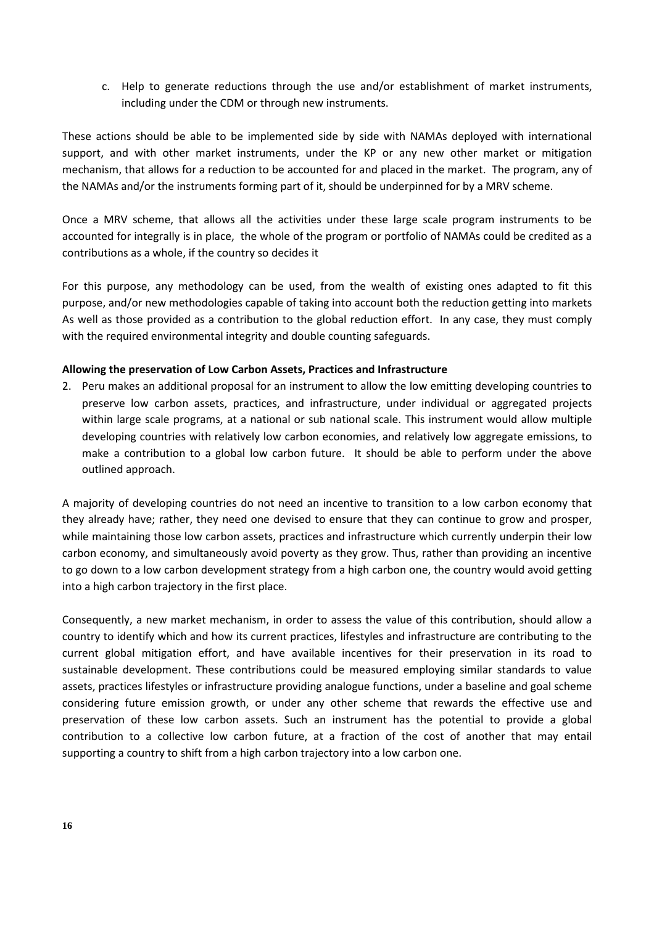c. Help to generate reductions through the use and/or establishment of market instruments, including under the CDM or through new instruments.

These actions should be able to be implemented side by side with NAMAs deployed with international support, and with other market instruments, under the KP or any new other market or mitigation mechanism, that allows for a reduction to be accounted for and placed in the market. The program, any of the NAMAs and/or the instruments forming part of it, should be underpinned for by a MRV scheme.

Once a MRV scheme, that allows all the activities under these large scale program instruments to be accounted for integrally is in place, the whole of the program or portfolio of NAMAs could be credited as a contributions as a whole, if the country so decides it

For this purpose, any methodology can be used, from the wealth of existing ones adapted to fit this purpose, and/or new methodologies capable of taking into account both the reduction getting into markets As well as those provided as a contribution to the global reduction effort. In any case, they must comply with the required environmental integrity and double counting safeguards.

## **Allowing the preservation of Low Carbon Assets, Practices and Infrastructure**

2. Peru makes an additional proposal for an instrument to allow the low emitting developing countries to preserve low carbon assets, practices, and infrastructure, under individual or aggregated projects within large scale programs, at a national or sub national scale. This instrument would allow multiple developing countries with relatively low carbon economies, and relatively low aggregate emissions, to make a contribution to a global low carbon future. It should be able to perform under the above outlined approach.

A majority of developing countries do not need an incentive to transition to a low carbon economy that they already have; rather, they need one devised to ensure that they can continue to grow and prosper, while maintaining those low carbon assets, practices and infrastructure which currently underpin their low carbon economy, and simultaneously avoid poverty as they grow. Thus, rather than providing an incentive to go down to a low carbon development strategy from a high carbon one, the country would avoid getting into a high carbon trajectory in the first place.

Consequently, a new market mechanism, in order to assess the value of this contribution, should allow a country to identify which and how its current practices, lifestyles and infrastructure are contributing to the current global mitigation effort, and have available incentives for their preservation in its road to sustainable development. These contributions could be measured employing similar standards to value assets, practices lifestyles or infrastructure providing analogue functions, under a baseline and goal scheme considering future emission growth, or under any other scheme that rewards the effective use and preservation of these low carbon assets. Such an instrument has the potential to provide a global contribution to a collective low carbon future, at a fraction of the cost of another that may entail supporting a country to shift from a high carbon trajectory into a low carbon one.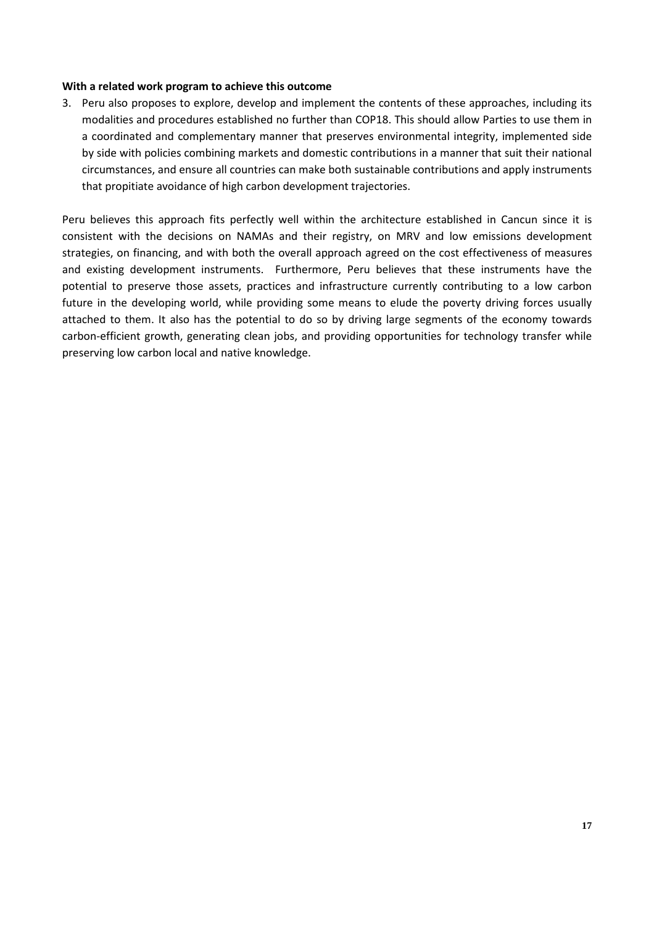#### **With a related work program to achieve this outcome**

3. Peru also proposes to explore, develop and implement the contents of these approaches, including its modalities and procedures established no further than COP18. This should allow Parties to use them in a coordinated and complementary manner that preserves environmental integrity, implemented side by side with policies combining markets and domestic contributions in a manner that suit their national circumstances, and ensure all countries can make both sustainable contributions and apply instruments that propitiate avoidance of high carbon development trajectories.

Peru believes this approach fits perfectly well within the architecture established in Cancun since it is consistent with the decisions on NAMAs and their registry, on MRV and low emissions development strategies, on financing, and with both the overall approach agreed on the cost effectiveness of measures and existing development instruments. Furthermore, Peru believes that these instruments have the potential to preserve those assets, practices and infrastructure currently contributing to a low carbon future in the developing world, while providing some means to elude the poverty driving forces usually attached to them. It also has the potential to do so by driving large segments of the economy towards carbon-efficient growth, generating clean jobs, and providing opportunities for technology transfer while preserving low carbon local and native knowledge.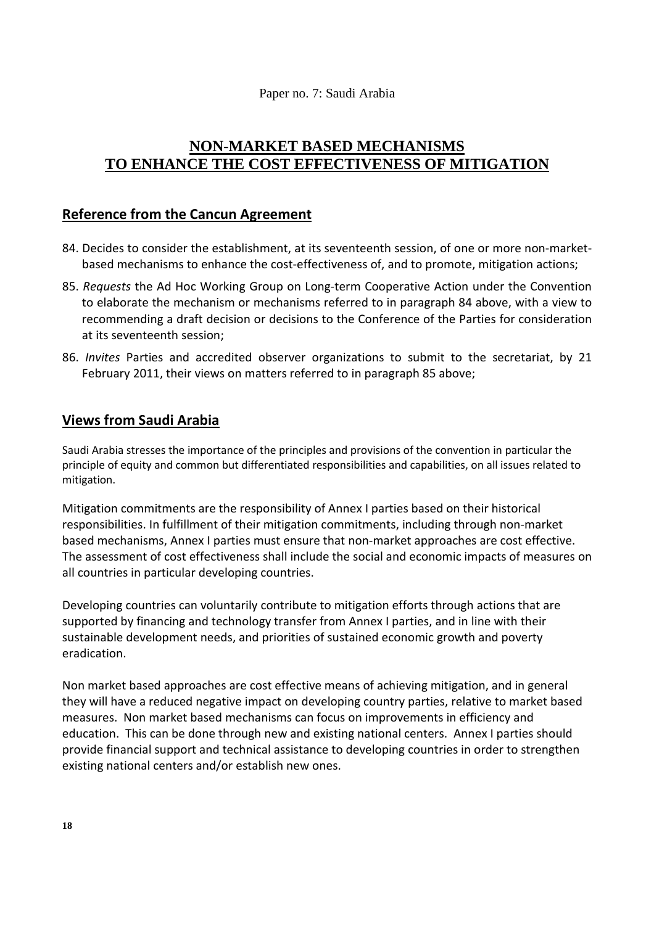Paper no. 7: Saudi Arabia

# **NON-MARKET BASED MECHANISMS TO ENHANCE THE COST EFFECTIVENESS OF MITIGATION**

# **Reference from the Cancun Agreement**

- 84. Decides to consider the establishment, at its seventeenth session, of one or more non-marketbased mechanisms to enhance the cost-effectiveness of, and to promote, mitigation actions;
- 85. *Requests* the Ad Hoc Working Group on Long-term Cooperative Action under the Convention to elaborate the mechanism or mechanisms referred to in paragraph 84 above, with a view to recommending a draft decision or decisions to the Conference of the Parties for consideration at its seventeenth session;
- 86. *Invites* Parties and accredited observer organizations to submit to the secretariat, by 21 February 2011, their views on matters referred to in paragraph 85 above;

# **Views from Saudi Arabia**

Saudi Arabia stresses the importance of the principles and provisions of the convention in particular the principle of equity and common but differentiated responsibilities and capabilities, on all issues related to mitigation.

Mitigation commitments are the responsibility of Annex I parties based on their historical responsibilities. In fulfillment of their mitigation commitments, including through non-market based mechanisms, Annex I parties must ensure that non-market approaches are cost effective. The assessment of cost effectiveness shall include the social and economic impacts of measures on all countries in particular developing countries.

Developing countries can voluntarily contribute to mitigation efforts through actions that are supported by financing and technology transfer from Annex I parties, and in line with their sustainable development needs, and priorities of sustained economic growth and poverty eradication.

Non market based approaches are cost effective means of achieving mitigation, and in general they will have a reduced negative impact on developing country parties, relative to market based measures. Non market based mechanisms can focus on improvements in efficiency and education. This can be done through new and existing national centers. Annex I parties should provide financial support and technical assistance to developing countries in order to strengthen existing national centers and/or establish new ones.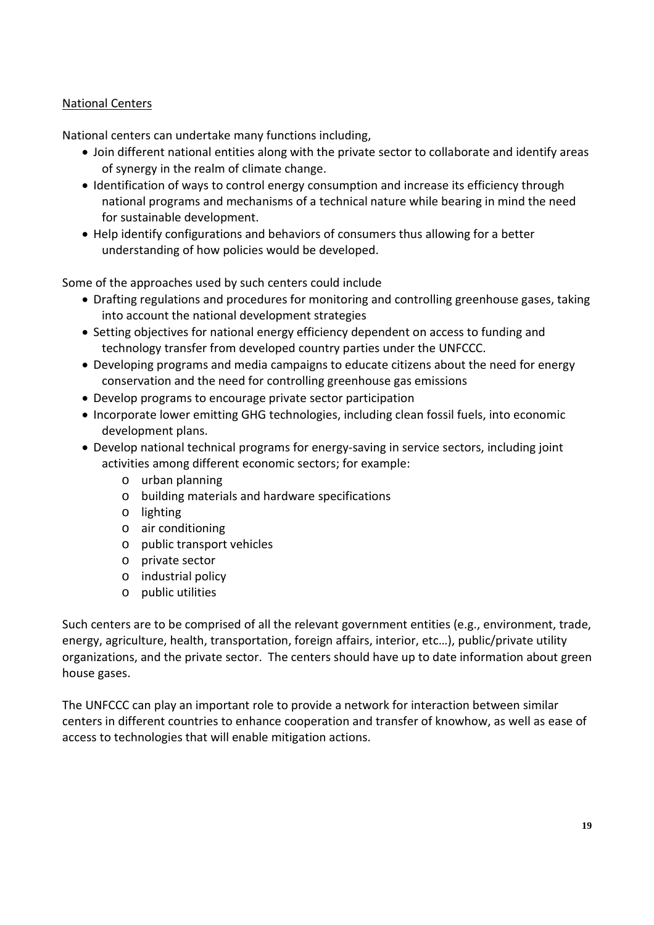## National Centers

National centers can undertake many functions including,

- Join different national entities along with the private sector to collaborate and identify areas of synergy in the realm of climate change.
- Identification of ways to control energy consumption and increase its efficiency through national programs and mechanisms of a technical nature while bearing in mind the need for sustainable development.
- Help identify configurations and behaviors of consumers thus allowing for a better understanding of how policies would be developed.

Some of the approaches used by such centers could include

- Drafting regulations and procedures for monitoring and controlling greenhouse gases, taking into account the national development strategies
- Setting objectives for national energy efficiency dependent on access to funding and technology transfer from developed country parties under the UNFCCC.
- Developing programs and media campaigns to educate citizens about the need for energy conservation and the need for controlling greenhouse gas emissions
- Develop programs to encourage private sector participation
- Incorporate lower emitting GHG technologies, including clean fossil fuels, into economic development plans.
- Develop national technical programs for energy-saving in service sectors, including joint activities among different economic sectors; for example:
	- o urban planning
	- o building materials and hardware specifications
	- o lighting
	- o air conditioning
	- o public transport vehicles
	- o private sector
	- o industrial policy
	- o public utilities

Such centers are to be comprised of all the relevant government entities (e.g., environment, trade, energy, agriculture, health, transportation, foreign affairs, interior, etc…), public/private utility organizations, and the private sector. The centers should have up to date information about green house gases.

The UNFCCC can play an important role to provide a network for interaction between similar centers in different countries to enhance cooperation and transfer of knowhow, as well as ease of access to technologies that will enable mitigation actions.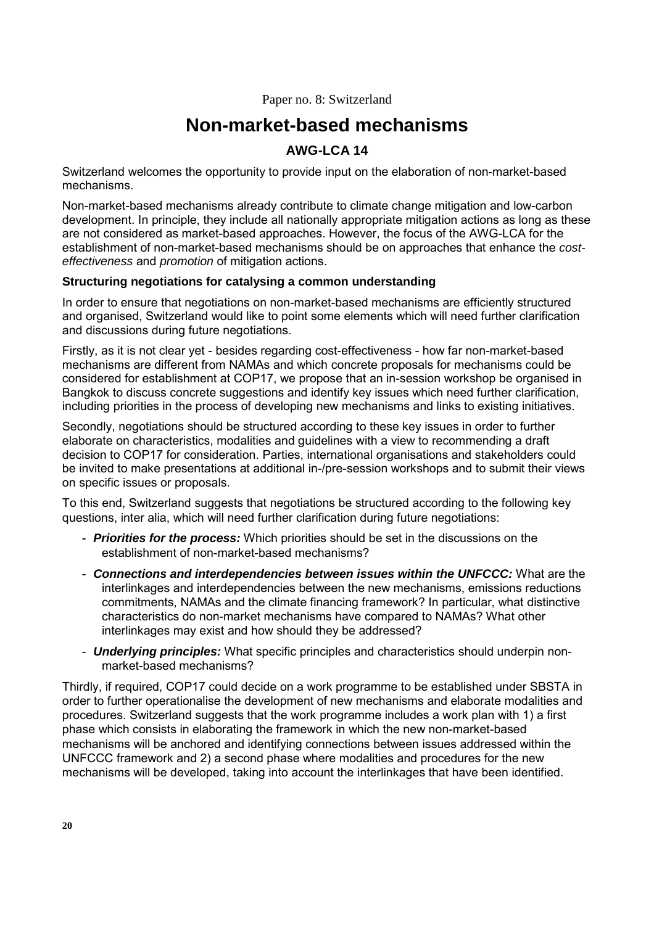Paper no. 8: Switzerland

# **Non-market-based mechanisms**

# **AWG-LCA 14**

Switzerland welcomes the opportunity to provide input on the elaboration of non-market-based mechanisms.

Non-market-based mechanisms already contribute to climate change mitigation and low-carbon development. In principle, they include all nationally appropriate mitigation actions as long as these are not considered as market-based approaches. However, the focus of the AWG-LCA for the establishment of non-market-based mechanisms should be on approaches that enhance the *costeffectiveness* and *promotion* of mitigation actions.

## **Structuring negotiations for catalysing a common understanding**

In order to ensure that negotiations on non-market-based mechanisms are efficiently structured and organised, Switzerland would like to point some elements which will need further clarification and discussions during future negotiations.

Firstly, as it is not clear yet - besides regarding cost-effectiveness - how far non-market-based mechanisms are different from NAMAs and which concrete proposals for mechanisms could be considered for establishment at COP17, we propose that an in-session workshop be organised in Bangkok to discuss concrete suggestions and identify key issues which need further clarification, including priorities in the process of developing new mechanisms and links to existing initiatives.

Secondly, negotiations should be structured according to these key issues in order to further elaborate on characteristics, modalities and guidelines with a view to recommending a draft decision to COP17 for consideration. Parties, international organisations and stakeholders could be invited to make presentations at additional in-/pre-session workshops and to submit their views on specific issues or proposals.

To this end, Switzerland suggests that negotiations be structured according to the following key questions, inter alia, which will need further clarification during future negotiations:

- *Priorities for the process:* Which priorities should be set in the discussions on the establishment of non-market-based mechanisms?
- *Connections and interdependencies between issues within the UNFCCC:* What are the interlinkages and interdependencies between the new mechanisms, emissions reductions commitments, NAMAs and the climate financing framework? In particular, what distinctive characteristics do non-market mechanisms have compared to NAMAs? What other interlinkages may exist and how should they be addressed?
- *Underlying principles:* What specific principles and characteristics should underpin nonmarket-based mechanisms?

Thirdly, if required, COP17 could decide on a work programme to be established under SBSTA in order to further operationalise the development of new mechanisms and elaborate modalities and procedures. Switzerland suggests that the work programme includes a work plan with 1) a first phase which consists in elaborating the framework in which the new non-market-based mechanisms will be anchored and identifying connections between issues addressed within the UNFCCC framework and 2) a second phase where modalities and procedures for the new mechanisms will be developed, taking into account the interlinkages that have been identified.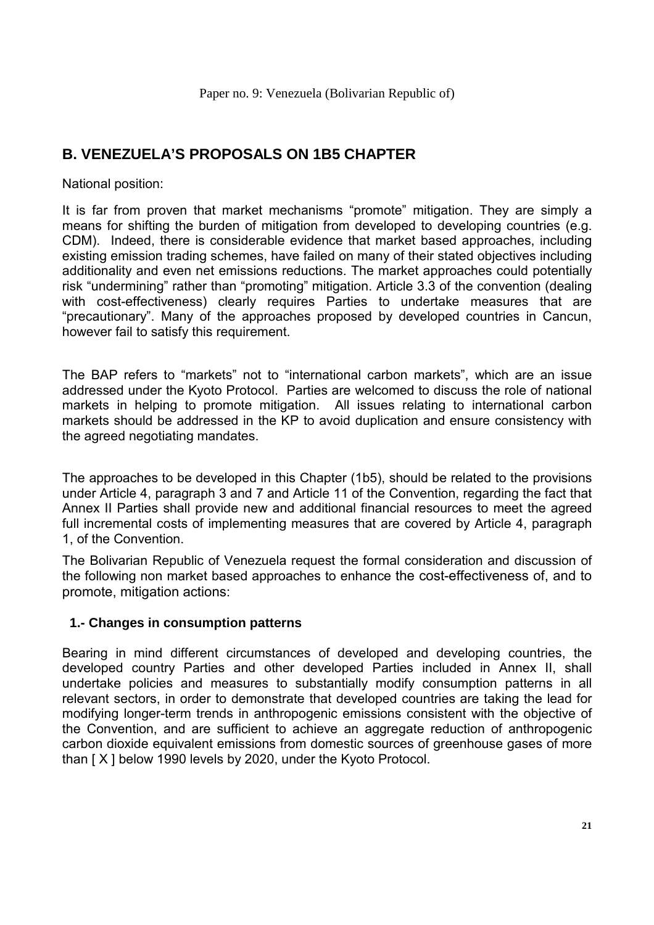# **B. VENEZUELA'S PROPOSALS ON 1B5 CHAPTER**

National position:

It is far from proven that market mechanisms "promote" mitigation. They are simply a means for shifting the burden of mitigation from developed to developing countries (e.g. CDM). Indeed, there is considerable evidence that market based approaches, including existing emission trading schemes, have failed on many of their stated objectives including additionality and even net emissions reductions. The market approaches could potentially risk "undermining" rather than "promoting" mitigation. Article 3.3 of the convention (dealing with cost-effectiveness) clearly requires Parties to undertake measures that are "precautionary". Many of the approaches proposed by developed countries in Cancun, however fail to satisfy this requirement.

The BAP refers to "markets" not to "international carbon markets", which are an issue addressed under the Kyoto Protocol. Parties are welcomed to discuss the role of national markets in helping to promote mitigation. All issues relating to international carbon markets should be addressed in the KP to avoid duplication and ensure consistency with the agreed negotiating mandates.

The approaches to be developed in this Chapter (1b5), should be related to the provisions under Article 4, paragraph 3 and 7 and Article 11 of the Convention, regarding the fact that Annex II Parties shall provide new and additional financial resources to meet the agreed full incremental costs of implementing measures that are covered by Article 4, paragraph 1, of the Convention.

The Bolivarian Republic of Venezuela request the formal consideration and discussion of the following non market based approaches to enhance the cost-effectiveness of, and to promote, mitigation actions:

## **1.- Changes in consumption patterns**

Bearing in mind different circumstances of developed and developing countries, the developed country Parties and other developed Parties included in Annex II, shall undertake policies and measures to substantially modify consumption patterns in all relevant sectors, in order to demonstrate that developed countries are taking the lead for modifying longer-term trends in anthropogenic emissions consistent with the objective of the Convention, and are sufficient to achieve an aggregate reduction of anthropogenic carbon dioxide equivalent emissions from domestic sources of greenhouse gases of more than [ X ] below 1990 levels by 2020, under the Kyoto Protocol.